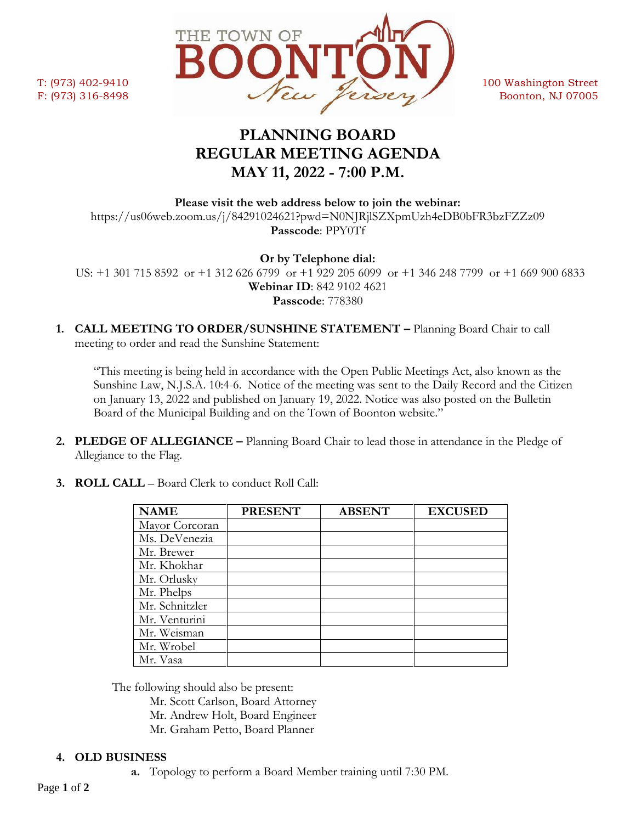

# **PLANNING BOARD REGULAR MEETING AGENDA MAY 11, 2022 - 7:00 P.M.**

**Please visit the web address below to join the webinar:** https://us06web.zoom.us/j/84291024621?pwd=N0NJRjlSZXpmUzh4eDB0bFR3bzFZZz09 **Passcode**: PPY0Tf

**Or by Telephone dial:**

 US: +1 301 715 8592 or +1 312 626 6799 or +1 929 205 6099 or +1 346 248 7799 or +1 669 900 6833 **Webinar ID**: 842 9102 4621 **Passcode**: 778380

**1. CALL MEETING TO ORDER/SUNSHINE STATEMENT –** Planning Board Chair to call meeting to order and read the Sunshine Statement:

"This meeting is being held in accordance with the Open Public Meetings Act, also known as the Sunshine Law, N.J.S.A. 10:4-6. Notice of the meeting was sent to the Daily Record and the Citizen on January 13, 2022 and published on January 19, 2022. Notice was also posted on the Bulletin Board of the Municipal Building and on the Town of Boonton website."

**2. PLEDGE OF ALLEGIANCE –** Planning Board Chair to lead those in attendance in the Pledge of Allegiance to the Flag.

| <b>NAME</b>    | <b>PRESENT</b> | <b>ABSENT</b> | <b>EXCUSED</b> |
|----------------|----------------|---------------|----------------|
| Mayor Corcoran |                |               |                |
| Ms. DeVenezia  |                |               |                |
| Mr. Brewer     |                |               |                |
| Mr. Khokhar    |                |               |                |
| Mr. Orlusky    |                |               |                |
| Mr. Phelps     |                |               |                |
| Mr. Schnitzler |                |               |                |
| Mr. Venturini  |                |               |                |
| Mr. Weisman    |                |               |                |
| Mr. Wrobel     |                |               |                |
| Mr. Vasa       |                |               |                |

**3. ROLL CALL** – Board Clerk to conduct Roll Call:

The following should also be present:

Mr. Scott Carlson, Board Attorney Mr. Andrew Holt, Board Engineer

Mr. Graham Petto, Board Planner

# **4. OLD BUSINESS**

**a.** Topology to perform a Board Member training until 7:30 PM.